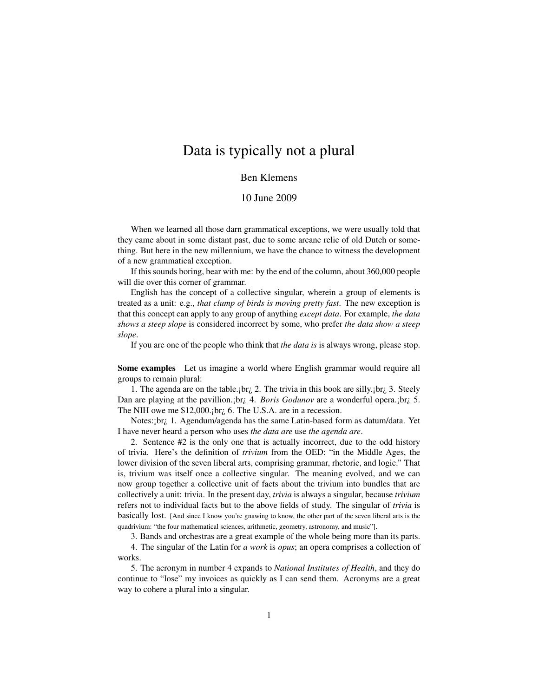## Data is typically not a plural

## Ben Klemens

## 10 June 2009

When we learned all those darn grammatical exceptions, we were usually told that they came about in some distant past, due to some arcane relic of old Dutch or something. But here in the new millennium, we have the chance to witness the development of a new grammatical exception.

If this sounds boring, bear with me: by the end of the column, about 360,000 people will die over this corner of grammar.

English has the concept of a collective singular, wherein a group of elements is treated as a unit: e.g., *that clump of birds is moving pretty fast*. The new exception is that this concept can apply to any group of anything *except data*. For example, *the data shows a steep slope* is considered incorrect by some, who prefer *the data show a steep slope*.

If you are one of the people who think that *the data is* is always wrong, please stop.

Some examples Let us imagine a world where English grammar would require all groups to remain plural:

1. The agenda are on the table.; br; 2. The trivia in this book are silly.; br; 3. Steely Dan are playing at the pavillion.¡br¿ 4. *Boris Godunov* are a wonderful opera.¡br¿ 5. The NIH owe me \$12,000.; br<sub>i</sub>, 6. The U.S.A. are in a recession.

Notes:jbr<sub>i</sub>, 1. Agendum/agenda has the same Latin-based form as datum/data. Yet I have never heard a person who uses *the data are* use *the agenda are*.

2. Sentence #2 is the only one that is actually incorrect, due to the odd history of trivia. Here's the definition of *trivium* from the OED: "in the Middle Ages, the lower division of the seven liberal arts, comprising grammar, rhetoric, and logic." That is, trivium was itself once a collective singular. The meaning evolved, and we can now group together a collective unit of facts about the trivium into bundles that are collectively a unit: trivia. In the present day, *trivia* is always a singular, because *trivium* refers not to individual facts but to the above fields of study. The singular of *trivia* is basically lost. [And since I know you're gnawing to know, the other part of the seven liberal arts is the quadrivium: "the four mathematical sciences, arithmetic, geometry, astronomy, and music"].

3. Bands and orchestras are a great example of the whole being more than its parts.

4. The singular of the Latin for *a work* is *opus*; an opera comprises a collection of works.

5. The acronym in number 4 expands to *National Institutes of Health*, and they do continue to "lose" my invoices as quickly as I can send them. Acronyms are a great way to cohere a plural into a singular.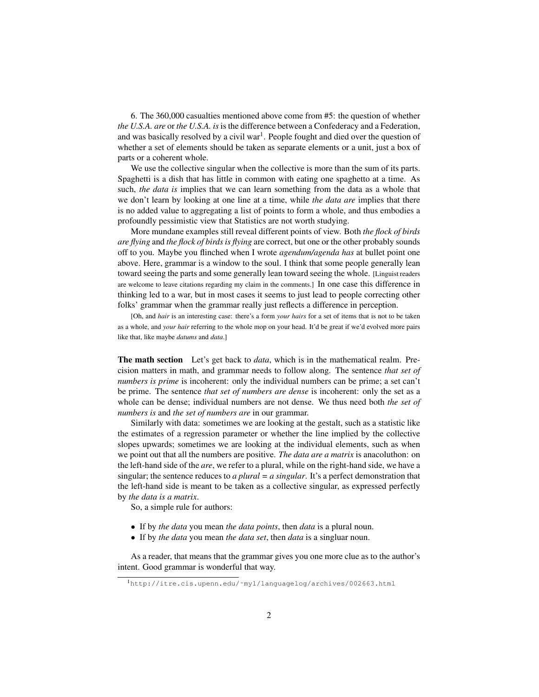6. The 360,000 casualties mentioned above come from #5: the question of whether *the U.S.A. are* or *the U.S.A. is* is the difference between a Confederacy and a Federation, and was basically resolved by a civil war<sup>[1](#page-1-0)</sup>. People fought and died over the question of whether a set of elements should be taken as separate elements or a unit, just a box of parts or a coherent whole.

We use the collective singular when the collective is more than the sum of its parts. Spaghetti is a dish that has little in common with eating one spaghetto at a time. As such, *the data is* implies that we can learn something from the data as a whole that we don't learn by looking at one line at a time, while *the data are* implies that there is no added value to aggregating a list of points to form a whole, and thus embodies a profoundly pessimistic view that Statistics are not worth studying.

More mundane examples still reveal different points of view. Both *the flock of birds are flying* and *the flock of birds is flying* are correct, but one or the other probably sounds off to you. Maybe you flinched when I wrote *agendum/agenda has* at bullet point one above. Here, grammar is a window to the soul. I think that some people generally lean toward seeing the parts and some generally lean toward seeing the whole. [Linguist readers are welcome to leave citations regarding my claim in the comments.] In one case this difference in thinking led to a war, but in most cases it seems to just lead to people correcting other folks' grammar when the grammar really just reflects a difference in perception.

[Oh, and *hair* is an interesting case: there's a form *your hairs* for a set of items that is not to be taken as a whole, and *your hair* referring to the whole mop on your head. It'd be great if we'd evolved more pairs like that, like maybe *datums* and *data*.]

The math section Let's get back to *data*, which is in the mathematical realm. Precision matters in math, and grammar needs to follow along. The sentence *that set of numbers is prime* is incoherent: only the individual numbers can be prime; a set can't be prime. The sentence *that set of numbers are dense* is incoherent: only the set as a whole can be dense; individual numbers are not dense. We thus need both *the set of numbers is* and *the set of numbers are* in our grammar.

Similarly with data: sometimes we are looking at the gestalt, such as a statistic like the estimates of a regression parameter or whether the line implied by the collective slopes upwards; sometimes we are looking at the individual elements, such as when we point out that all the numbers are positive. *The data are a matrix* is anacoluthon: on the left-hand side of the *are*, we refer to a plural, while on the right-hand side, we have a singular; the sentence reduces to *a plural = a singular*. It's a perfect demonstration that the left-hand side is meant to be taken as a collective singular, as expressed perfectly by *the data is a matrix*.

So, a simple rule for authors:

- If by *the data* you mean *the data points*, then *data* is a plural noun.
- If by *the data* you mean *the data set*, then *data* is a singluar noun.

As a reader, that means that the grammar gives you one more clue as to the author's intent. Good grammar is wonderful that way.

<span id="page-1-0"></span><sup>1</sup>[http://itre.cis.upenn.edu/˜myl/languagelog/archives/002663.html](http://itre.cis.upenn.edu/~myl/languagelog/archives/002663.html)